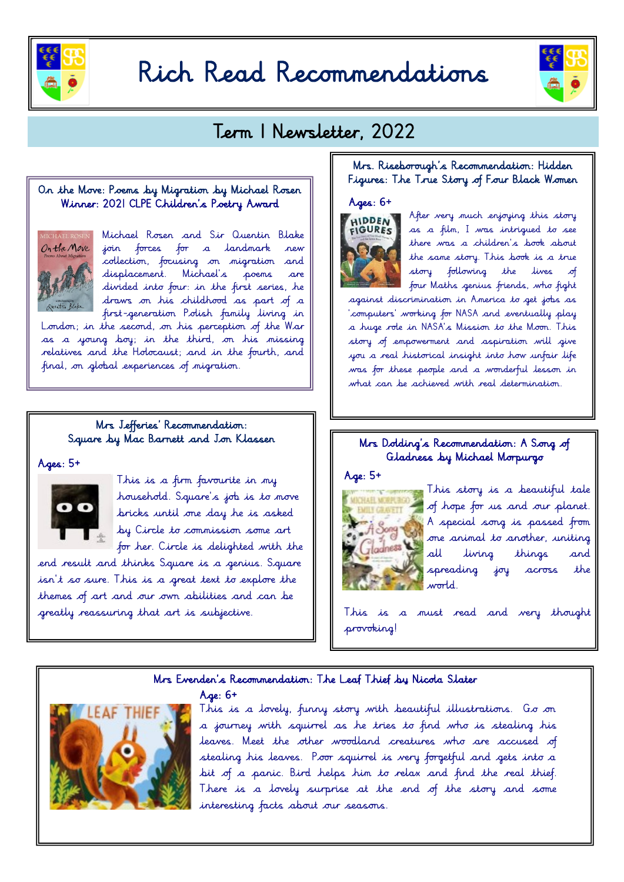

# Rich Read Recommendations



# Term | Newsletter, 2022

#### On the Move: Poems by Migration by Michael Rosen Winner: 2021 CLPE Children's Poetry Award



Michael Rosen and Sir Quentin Blake join forces for a landmark new collection, focusing on migration and displacement. Michael's poems are divided into four: in the first series, he draws on his childhood as part of a first-generation Polish family living in

London; in the second, on his perception of the War as a young boy; in the third, on his missing relatives and the Hotocaust; and in the fourth, and final, on global experiences of migration.

# Mrs Jefferies' Recommendation: Square by Mac Barnett and Jon Klassen

 $A$ ges:  $5+$ 



This is a firm favourite in my household. Square's job is to move bricks until one day he is asked by Circle to commission some art for her. Circle is delighted with the

Age: 6+

end result and thinks Square is a genius. Square  $is n't$  so sure. This is a great text to explore the themes of art and our own abilities and can be greatly reassuring that art is subjective.

#### Mrs. Riseborough's Recommendation: Hidden Figures: The True Story of Four Black Women

#### $Ages: 6+$



After very much enjoying this story as a film, I was intrigued to see there was a children's book about the same story. This book is a true story following the lives of  $\blacksquare$  four Maths genius friends, who fight

against discrimination in America to get jobs as 'computers' working for NASA and eventually play a huge role in NASA's Mission to the Moon. This story of empowerment and aspiration will give you a real historical insight into how unfair life was for these people and a wonderful lesson in what can be achieved with real determination.

#### Mrs Dolding's Recommendation: A Song of Gladness by Michael Morpurgo





This story is a beautiful tale of hope for us and our planet. A special song is passed from one animal to another, uniting all living things and spreading joy across the world.

This is a must read and very thought provoking!

# Mrs Evenden's Recommendation: The Leaf Thief by Nicola Slater



This is a lovely, funny story with beautiful illustrations. Go on a journey with squirrel as he tries to find who is stealing his leaves. Meet the other woodland creatures who are accused of stealing his leaves. Poor squirrel is very forgetful and gets into a bit of a panic. Bird helps him to relax and find the real thief. There is a lovely surprise at the end of the story and some interesting facts about our seasons.